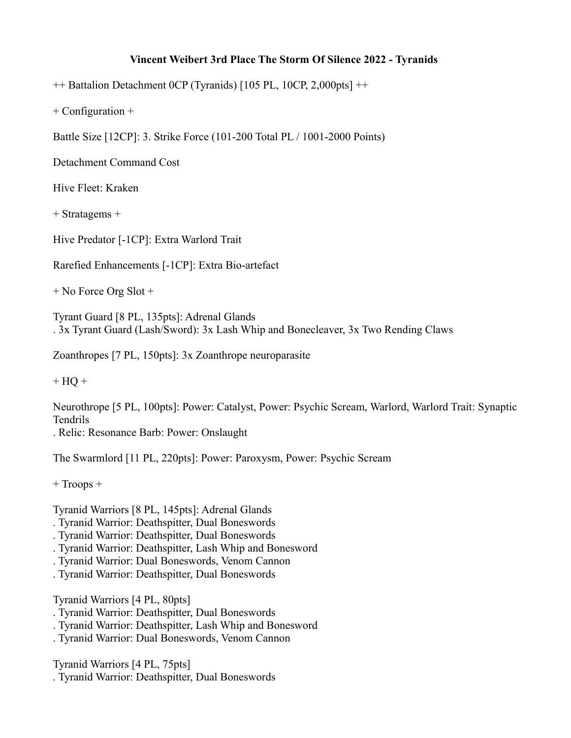## **Vincent Weibert 3rd Place The Storm Of Silence 2022 - Tyranids**

++ Battalion Detachment 0CP (Tyranids) [105 PL, 10CP, 2,000pts] ++

+ Configuration +

Battle Size [12CP]: 3. Strike Force (101-200 Total PL / 1001-2000 Points)

Detachment Command Cost

Hive Fleet: Kraken

+ Stratagems +

Hive Predator [-1CP]: Extra Warlord Trait

Rarefied Enhancements [-1CP]: Extra Bio-artefact

+ No Force Org Slot +

Tyrant Guard [8 PL, 135pts]: Adrenal Glands . 3x Tyrant Guard (Lash/Sword): 3x Lash Whip and Bonecleaver, 3x Two Rending Claws

Zoanthropes [7 PL, 150pts]: 3x Zoanthrope neuroparasite

 $+ HO +$ 

Neurothrope [5 PL, 100pts]: Power: Catalyst, Power: Psychic Scream, Warlord, Warlord Trait: Synaptic Tendrils

. Relic: Resonance Barb: Power: Onslaught

The Swarmlord [11 PL, 220pts]: Power: Paroxysm, Power: Psychic Scream

+ Troops +

Tyranid Warriors [8 PL, 145pts]: Adrenal Glands

- . Tyranid Warrior: Deathspitter, Dual Boneswords
- . Tyranid Warrior: Deathspitter, Dual Boneswords
- . Tyranid Warrior: Deathspitter, Lash Whip and Bonesword
- . Tyranid Warrior: Dual Boneswords, Venom Cannon
- . Tyranid Warrior: Deathspitter, Dual Boneswords

Tyranid Warriors [4 PL, 80pts]

- . Tyranid Warrior: Deathspitter, Dual Boneswords
- . Tyranid Warrior: Deathspitter, Lash Whip and Bonesword
- . Tyranid Warrior: Dual Boneswords, Venom Cannon

Tyranid Warriors [4 PL, 75pts]

. Tyranid Warrior: Deathspitter, Dual Boneswords